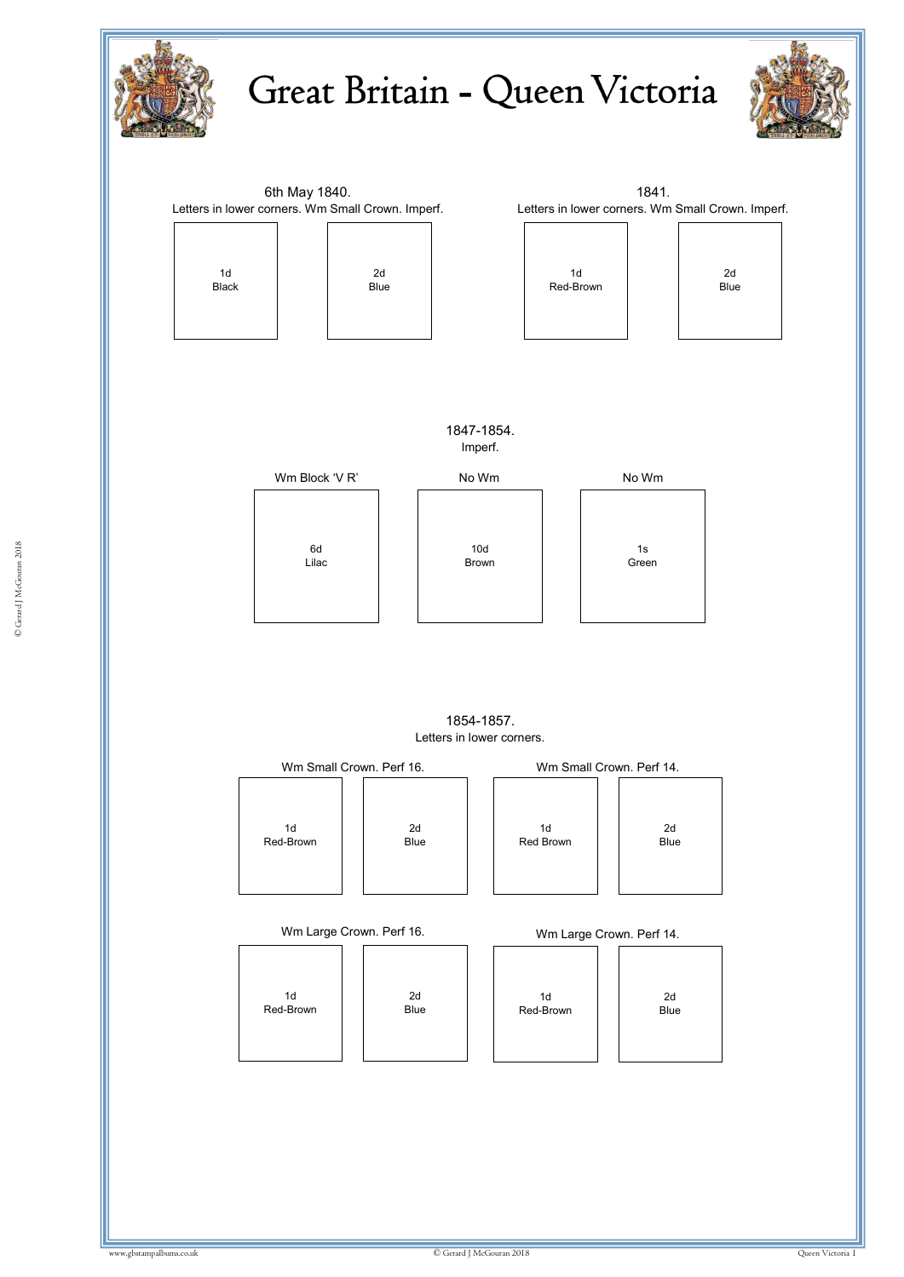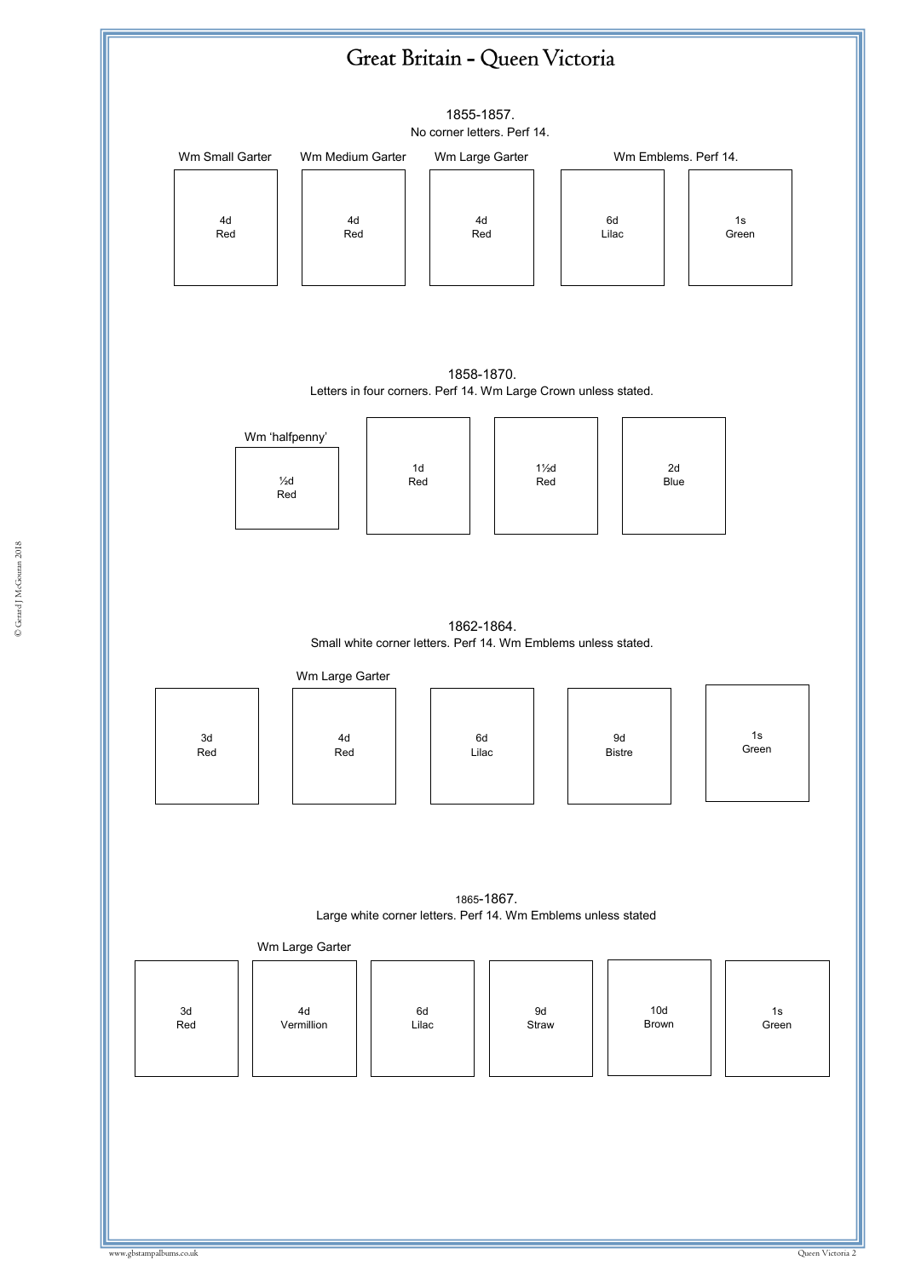

© Gerard J McGouran 2018 © Gerard J McGouran 2018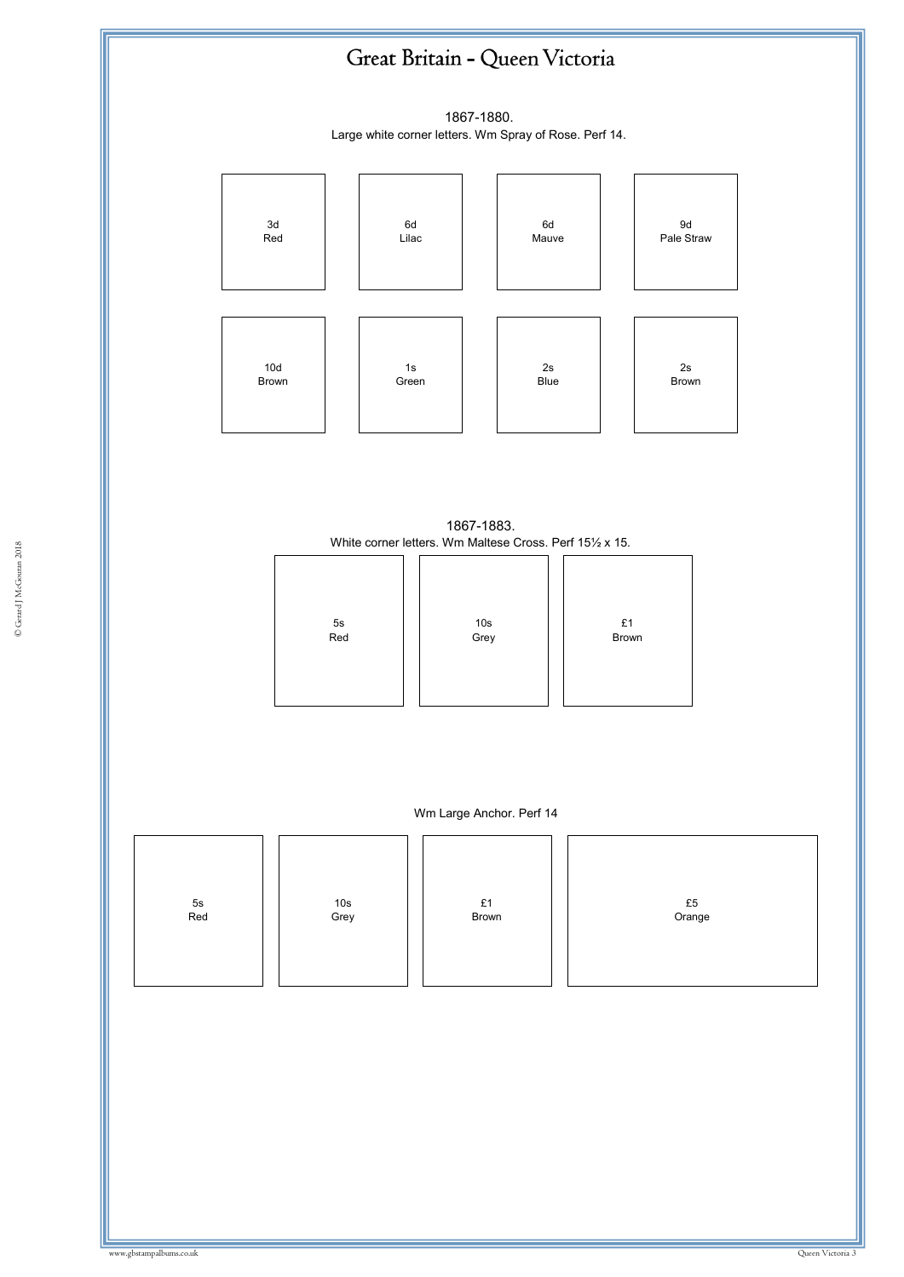## Great Britain - Queen Victoria

1867-1880. Large white corner letters. Wm Spray of Rose. Perf 14.



1867-1883. White corner letters. Wm Maltese Cross. Perf 15½ x 15.

| 5s<br>Red | 10s<br>Grey | £1<br>Brown |
|-----------|-------------|-------------|



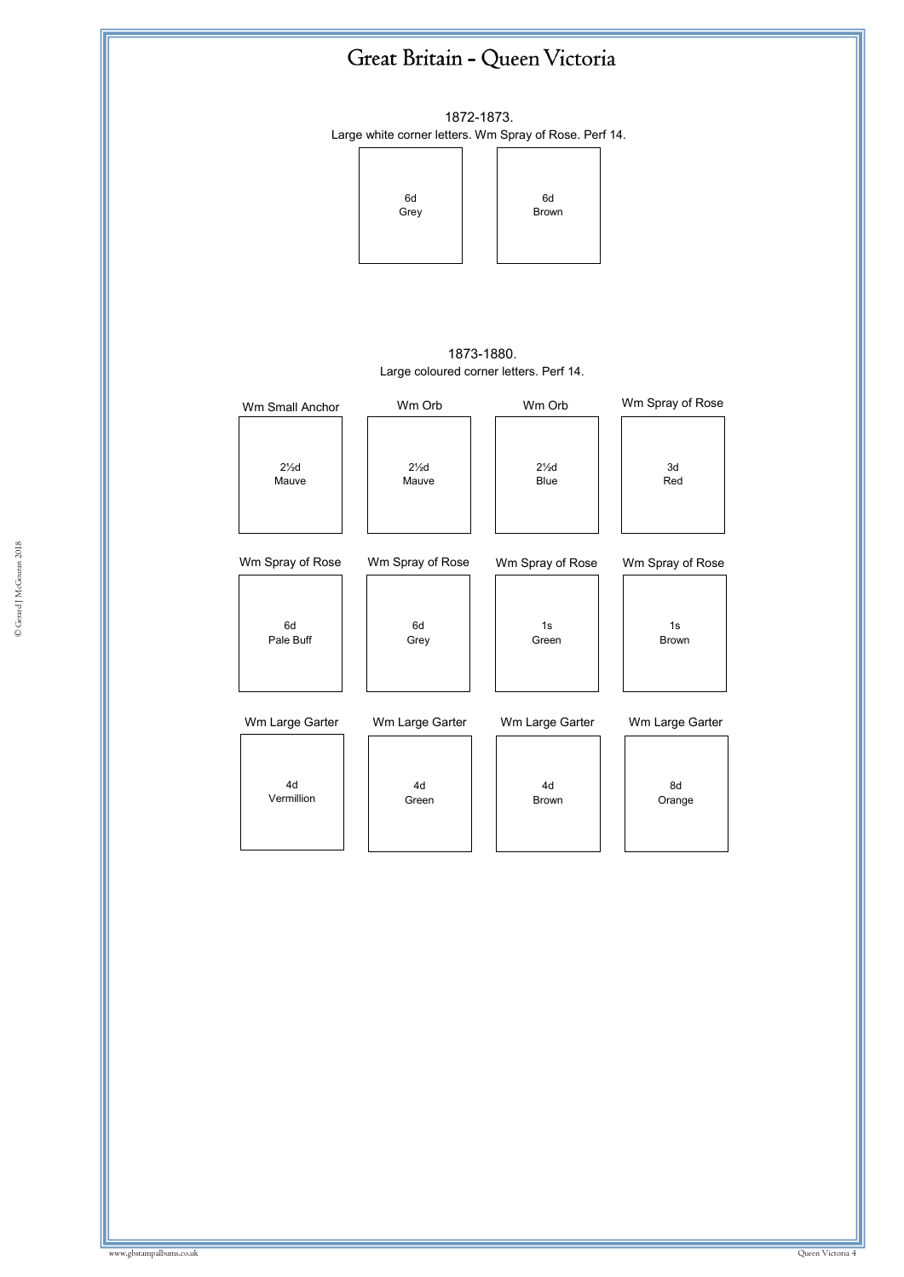

1872-1873. Large white corner letters. Wm Spray of Rose. Perf 14.



1873-1880. Large coloured corner letters. Perf 14.

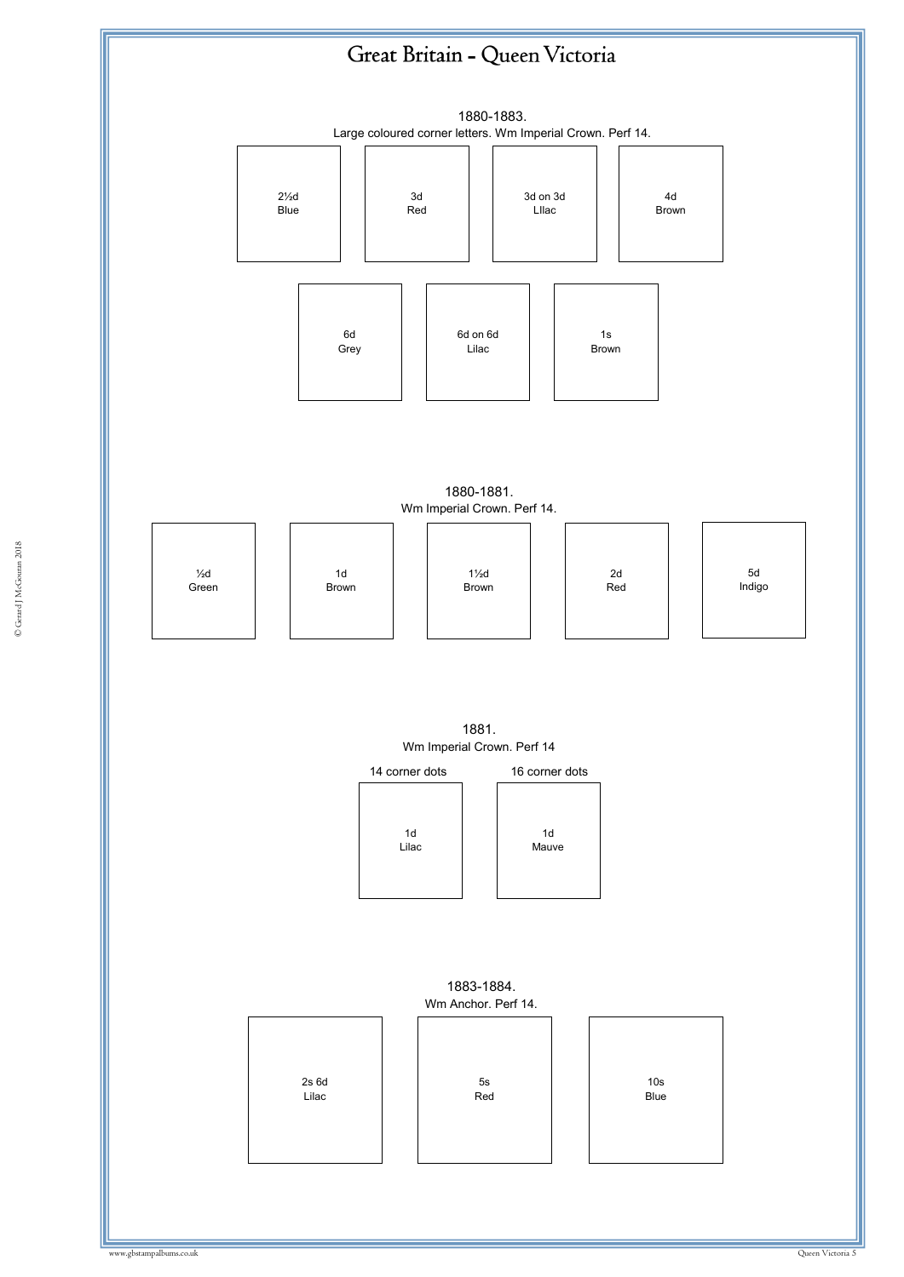## Great Britain - Queen Victoria



1880-1881. Wm Imperial Crown. Perf 14.



1881. Wm Imperial Crown. Perf 14



1883-1884. Wm Anchor. Perf 14.

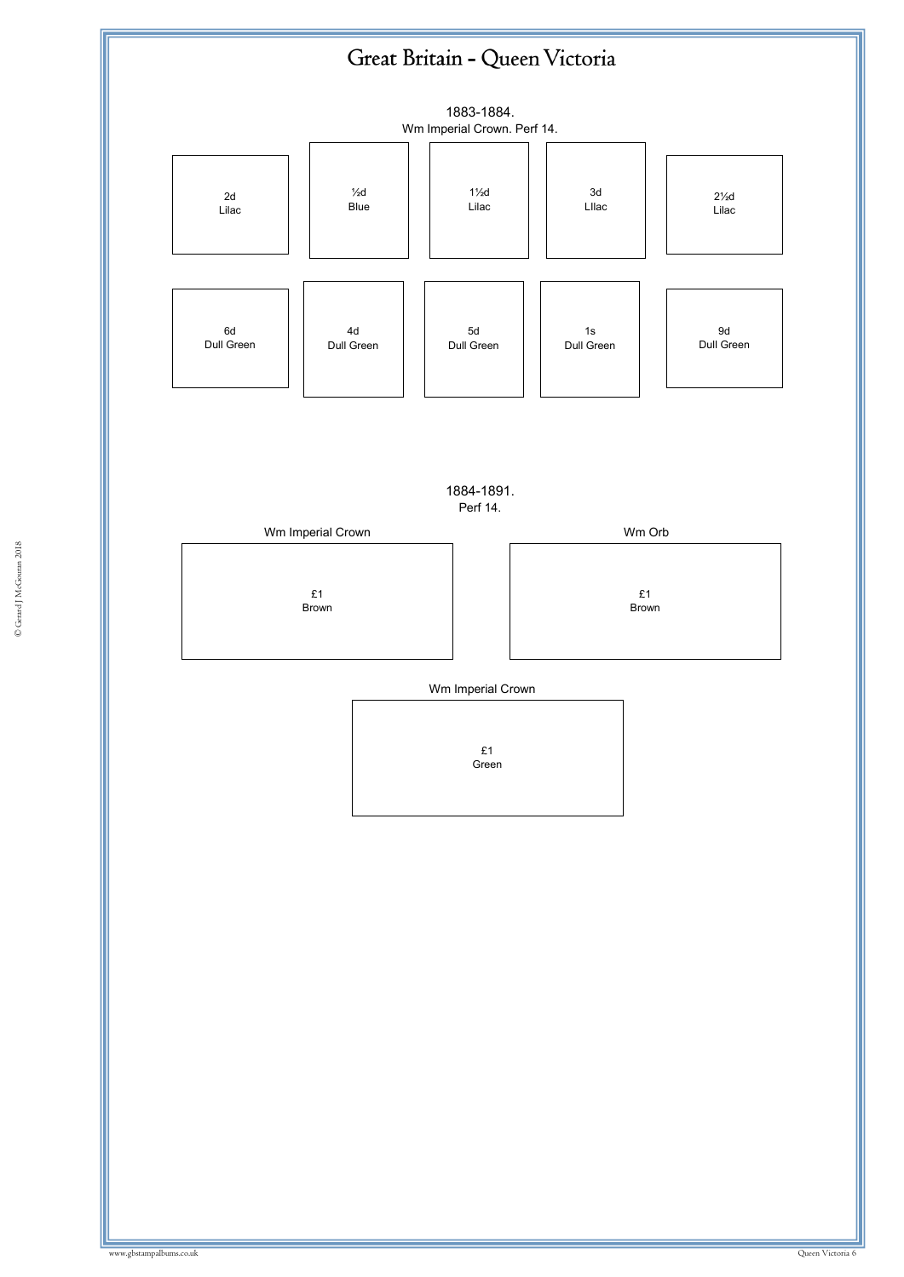## Great Britain - Queen Victoria



1884-1891. Perf 14.



Wm Imperial Crown